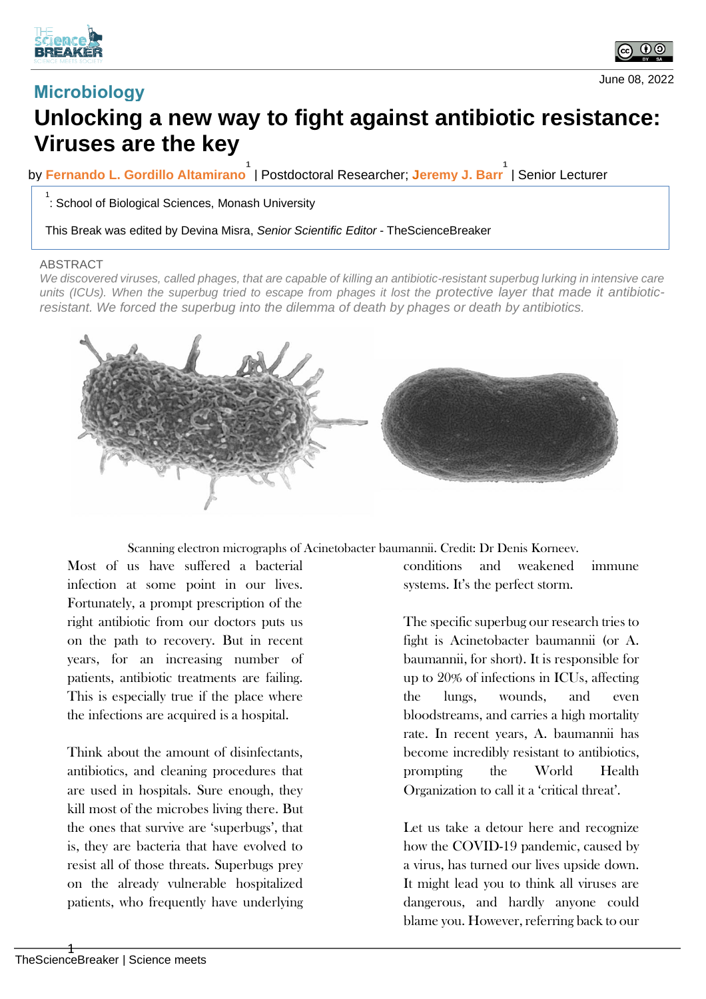





## **Unlocking a new way to fight against antibiotic resistance: Viruses are the key**

by **Fernando L. Gordillo Altamirano 1** | Postdoctoral Researcher; **Jeremy J. Barr 1** | Senior Lecturer

 $\frac{1}{1}$ : School of Biological Sciences, Monash University

This Break was edited by Devina Misra, *Senior Scientific Editor* - TheScienceBreaker

## ABSTRACT

We discovered viruses, called phages, that are capable of killing an antibiotic-resistant superbug lurking in intensive care units (ICUs). When the superbug tried to escape from phages it lost the protective layer that made it antibiotic*resistant. We forced the superbug into the dilemma of death by phages or death by antibiotics.*



Scanning electron micrographs of Acinetobacter baumannii. Credit: Dr Denis Korneev.

Most of us have suffered a bacterial infection at some point in our lives. Fortunately, a prompt prescription of the right antibiotic from our doctors puts us on the path to recovery. But in recent years, for an increasing number of patients, antibiotic treatments are failing. This is especially true if the place where the infections are acquired is a hospital.

Think about the amount of disinfectants, antibiotics, and cleaning procedures that are used in hospitals. Sure enough, they kill most of the microbes living there. But the ones that survive are 'superbugs', that is, they are bacteria that have evolved to resist all of those threats. Superbugs prey on the already vulnerable hospitalized patients, who frequently have underlying

conditions and weakened immune systems. It's the perfect storm.

The specific superbug our research tries to fight is Acinetobacter baumannii (or A. baumannii, for short). It is responsible for up to 20% of infections in ICUs, affecting the lungs, wounds, and even bloodstreams, and carries a high mortality rate. In recent years, A. baumannii has become incredibly resistant to antibiotics, prompting the World Health Organization to call it a 'critical threat'.

Let us take a detour here and recognize how the COVID-19 pandemic, caused by a virus, has turned our lives upside down. It might lead you to think all viruses are dangerous, and hardly anyone could blame you. However, referring back to our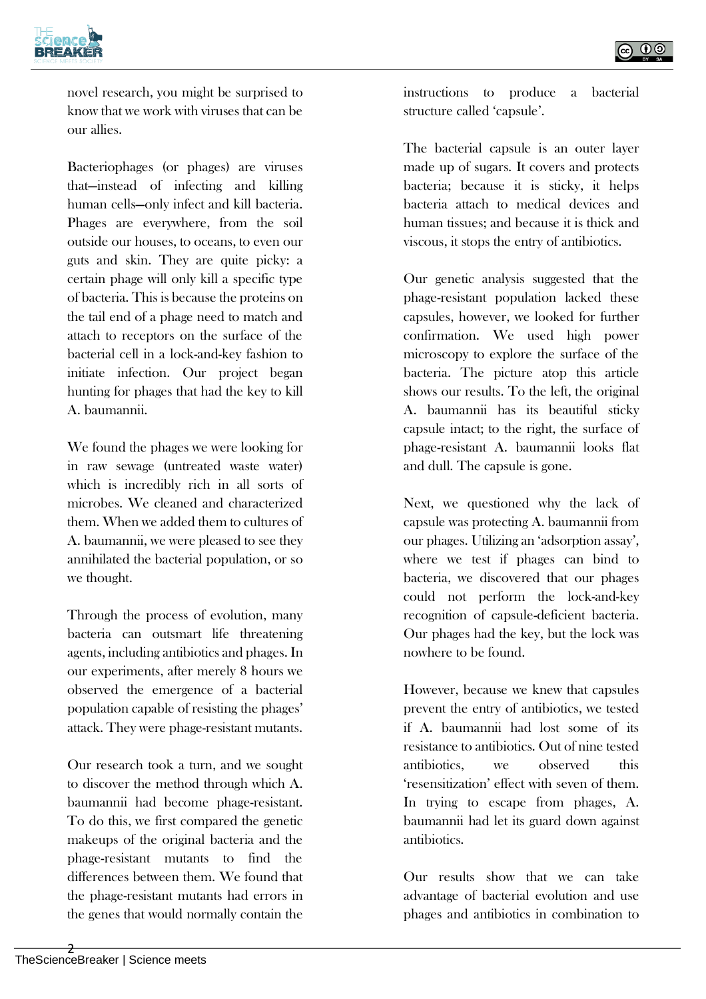

novel research, you might be surprised to know that we work with viruses that can be our allies.

Bacteriophages (or phages) are viruses that—instead of infecting and killing human cells—only infect and kill bacteria. Phages are everywhere, from the soil outside our houses, to oceans, to even our guts and skin. They are quite picky: a certain phage will only kill a specific type of bacteria. This is because the proteins on the tail end of a phage need to match and attach to receptors on the surface of the bacterial cell in a lock-and-key fashion to initiate infection. Our project began hunting for phages that had the key to kill A. baumannii.

We found the phages we were looking for in raw sewage (untreated waste water) which is incredibly rich in all sorts of microbes. We cleaned and characterized them. When we added them to cultures of A. baumannii, we were pleased to see they annihilated the bacterial population, or so we thought.

Through the process of evolution, many bacteria can outsmart life threatening agents, including antibiotics and phages. In our experiments, after merely 8 hours we observed the emergence of a bacterial population capable of resisting the phages' attack. They were phage-resistant mutants.

Our research took a turn, and we sought to discover the method through which A. baumannii had become phage-resistant. To do this, we first compared the genetic makeups of the original bacteria and the phage-resistant mutants to find the differences between them. We found that the phage-resistant mutants had errors in the genes that would normally contain the

instructions to produce a bacterial structure called 'capsule'.

The bacterial capsule is an outer layer made up of sugars. It covers and protects bacteria; because it is sticky, it helps bacteria attach to medical devices and human tissues; and because it is thick and viscous, it stops the entry of antibiotics.

Our genetic analysis suggested that the phage-resistant population lacked these capsules, however, we looked for further confirmation. We used high power microscopy to explore the surface of the bacteria. The picture atop this article shows our results. To the left, the original A. baumannii has its beautiful sticky capsule intact; to the right, the surface of phage-resistant A. baumannii looks flat and dull. The capsule is gone.

Next, we questioned why the lack of capsule was protecting A. baumannii from our phages. Utilizing an 'adsorption assay', where we test if phages can bind to bacteria, we discovered that our phages could not perform the lock-and-key recognition of capsule-deficient bacteria. Our phages had the key, but the lock was nowhere to be found.

However, because we knew that capsules prevent the entry of antibiotics, we tested if A. baumannii had lost some of its resistance to antibiotics. Out of nine tested antibiotics, we observed this 'resensitization' effect with seven of them. In trying to escape from phages, A. baumannii had let its guard down against antibiotics.

Our results show that we can take advantage of bacterial evolution and use phages and antibiotics in combination to